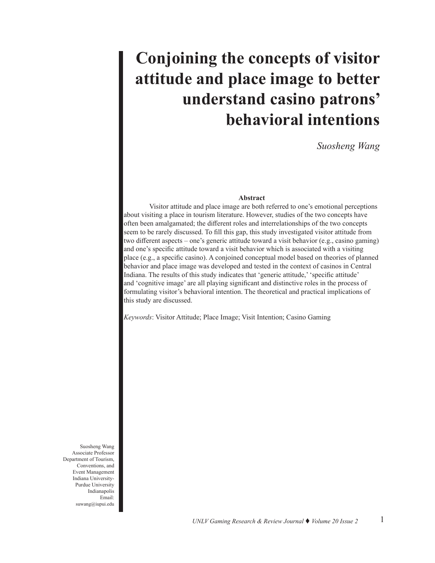# **Conjoining the concepts of visitor attitude and place image to better understand casino patrons' behavioral intentions**

*Suosheng Wang*

#### **Abstract**

Visitor attitude and place image are both referred to one's emotional perceptions about visiting a place in tourism literature. However, studies of the two concepts have often been amalgamated; the different roles and interrelationships of the two concepts seem to be rarely discussed. To fill this gap, this study investigated visitor attitude from two different aspects – one's generic attitude toward a visit behavior (e.g., casino gaming) and one's specific attitude toward a visit behavior which is associated with a visiting place (e.g., a specific casino). A conjoined conceptual model based on theories of planned behavior and place image was developed and tested in the context of casinos in Central Indiana. The results of this study indicates that 'generic attitude,' 'specific attitude' and 'cognitive image' are all playing significant and distinctive roles in the process of formulating visitor's behavioral intention. The theoretical and practical implications of this study are discussed.

*Keywords*: Visitor Attitude; Place Image; Visit Intention; Casino Gaming

Suosheng Wang Associate Professor Department of Tourism, Conventions, and Event Management Indiana University-Purdue University Indianapolis Email: suwang@iupui.edu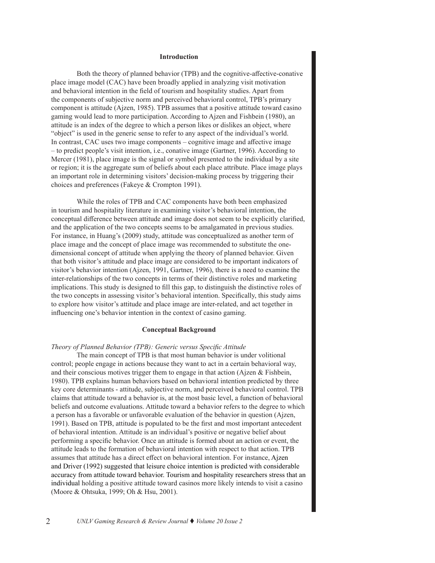#### **Introduction**

Both the theory of planned behavior (TPB) and the cognitive-affective-conative place image model (CAC) have been broadly applied in analyzing visit motivation and behavioral intention in the field of tourism and hospitality studies. Apart from the components of subjective norm and perceived behavioral control, TPB's primary component is attitude (Ajzen, 1985). TPB assumes that a positive attitude toward casino gaming would lead to more participation. According to Ajzen and Fishbein (1980), an attitude is an index of the degree to which a person likes or dislikes an object, where "object" is used in the generic sense to refer to any aspect of the individual's world. In contrast, CAC uses two image components – cognitive image and affective image – to predict people's visit intention, i.e., conative image (Gartner, 1996). According to Mercer (1981), place image is the signal or symbol presented to the individual by a site or region; it is the aggregate sum of beliefs about each place attribute. Place image plays an important role in determining visitors' decision-making process by triggering their choices and preferences (Fakeye & Crompton 1991).

While the roles of TPB and CAC components have both been emphasized in tourism and hospitality literature in examining visitor's behavioral intention, the conceptual difference between attitude and image does not seem to be explicitly clarified, and the application of the two concepts seems to be amalgamated in previous studies. For instance, in Huang's (2009) study, attitude was conceptualized as another term of place image and the concept of place image was recommended to substitute the onedimensional concept of attitude when applying the theory of planned behavior. Given that both visitor's attitude and place image are considered to be important indicators of visitor's behavior intention (Ajzen, 1991, Gartner, 1996), there is a need to examine the inter-relationships of the two concepts in terms of their distinctive roles and marketing implications. This study is designed to fill this gap, to distinguish the distinctive roles of the two concepts in assessing visitor's behavioral intention. Specifically, this study aims to explore how visitor's attitude and place image are inter-related, and act together in influencing one's behavior intention in the context of casino gaming.

#### **Conceptual Background**

#### *Theory of Planned Behavior (TPB): Generic versus Specific Attitude*

The main concept of TPB is that most human behavior is under volitional control; people engage in actions because they want to act in a certain behavioral way, and their conscious motives trigger them to engage in that action (Ajzen & Fishbein, 1980). TPB explains human behaviors based on behavioral intention predicted by three key core determinants - attitude, subjective norm, and perceived behavioral control. TPB claims that attitude toward a behavior is, at the most basic level, a function of behavioral beliefs and outcome evaluations. Attitude toward a behavior refers to the degree to which a person has a favorable or unfavorable evaluation of the behavior in question (Ajzen, 1991). Based on TPB, attitude is populated to be the first and most important antecedent of behavioral intention. Attitude is an individual's positive or negative belief about performing a specific behavior. Once an attitude is formed about an action or event, the attitude leads to the formation of behavioral intention with respect to that action. TPB assumes that attitude has a direct effect on behavioral intention. For instance, Ajzen and Driver (1992) suggested that leisure choice intention is predicted with considerable accuracy from attitude toward behavior. Tourism and hospitality researchers stress that an individual holding a positive attitude toward casinos more likely intends to visit a casino (Moore & Ohtsuka, 1999; Oh & Hsu, 2001).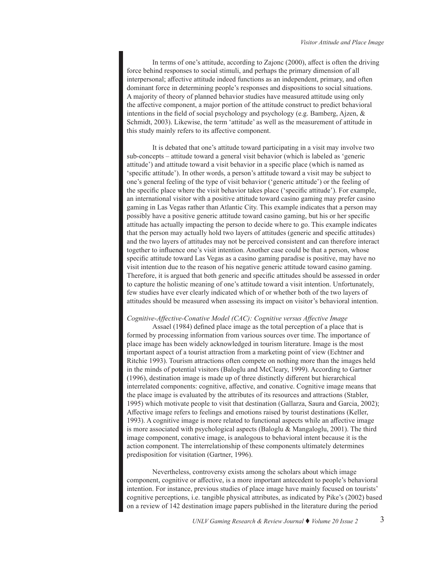In terms of one's attitude, according to Zajonc (2000), affect is often the driving force behind responses to social stimuli, and perhaps the primary dimension of all interpersonal; affective attitude indeed functions as an independent, primary, and often dominant force in determining people's responses and dispositions to social situations. A majority of theory of planned behavior studies have measured attitude using only the affective component, a major portion of the attitude construct to predict behavioral intentions in the field of social psychology and psychology (e.g. Bamberg, Ajzen, & Schmidt, 2003). Likewise, the term 'attitude' as well as the measurement of attitude in this study mainly refers to its affective component.

It is debated that one's attitude toward participating in a visit may involve two sub-concepts – attitude toward a general visit behavior (which is labeled as 'generic attitude') and attitude toward a visit behavior in a specific place (which is named as 'specific attitude'). In other words, a person's attitude toward a visit may be subject to one's general feeling of the type of visit behavior ('generic attitude') or the feeling of the specific place where the visit behavior takes place ('specific attitude'). For example, an international visitor with a positive attitude toward casino gaming may prefer casino gaming in Las Vegas rather than Atlantic City. This example indicates that a person may possibly have a positive generic attitude toward casino gaming, but his or her specific attitude has actually impacting the person to decide where to go. This example indicates that the person may actually hold two layers of attitudes (generic and specific attitudes) and the two layers of attitudes may not be perceived consistent and can therefore interact together to influence one's visit intention. Another case could be that a person, whose specific attitude toward Las Vegas as a casino gaming paradise is positive, may have no visit intention due to the reason of his negative generic attitude toward casino gaming. Therefore, it is argued that both generic and specific attitudes should be assessed in order to capture the holistic meaning of one's attitude toward a visit intention. Unfortunately, few studies have ever clearly indicated which of or whether both of the two layers of attitudes should be measured when assessing its impact on visitor's behavioral intention.

# *Cognitive-Affective-Conative Model (CAC): Cognitive versus Affective Image*

Assael (1984) defined place image as the total perception of a place that is formed by processing information from various sources over time. The importance of place image has been widely acknowledged in tourism literature. Image is the most important aspect of a tourist attraction from a marketing point of view (Echtner and Ritchie 1993). Tourism attractions often compete on nothing more than the images held in the minds of potential visitors (Baloglu and McCleary, 1999). According to Gartner (1996), destination image is made up of three distinctly different but hierarchical interrelated components: cognitive, affective, and conative. Cognitive image means that the place image is evaluated by the attributes of its resources and attractions (Stabler, 1995) which motivate people to visit that destination (Gallarza, Saura and Garcia, 2002); Affective image refers to feelings and emotions raised by tourist destinations (Keller, 1993). A cognitive image is more related to functional aspects while an affective image is more associated with psychological aspects (Baloglu  $\&$  Mangaloglu, 2001). The third image component, conative image, is analogous to behavioral intent because it is the action component. The interrelationship of these components ultimately determines predisposition for visitation (Gartner, 1996).

Nevertheless, controversy exists among the scholars about which image component, cognitive or affective, is a more important antecedent to people's behavioral intention. For instance, previous studies of place image have mainly focused on tourists' cognitive perceptions, i.e. tangible physical attributes, as indicated by Pike's (2002) based on a review of 142 destination image papers published in the literature during the period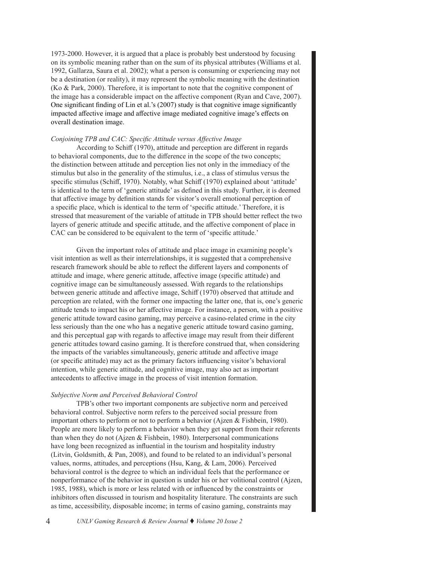1973-2000. However, it is argued that a place is probably best understood by focusing on its symbolic meaning rather than on the sum of its physical attributes (Williams et al. 1992, Gallarza, Saura et al. 2002); what a person is consuming or experiencing may not be a destination (or reality), it may represent the symbolic meaning with the destination (Ko & Park, 2000). Therefore, it is important to note that the cognitive component of the image has a considerable impact on the affective component (Ryan and Cave, 2007). One significant finding of Lin et al.'s (2007) study is that cognitive image significantly impacted affective image and affective image mediated cognitive image's effects on overall destination image.

# *Conjoining TPB and CAC: Specific Attitude versus Affective Image*

According to Schiff (1970), attitude and perception are different in regards to behavioral components, due to the difference in the scope of the two concepts; the distinction between attitude and perception lies not only in the immediacy of the stimulus but also in the generality of the stimulus, i.e., a class of stimulus versus the specific stimulus (Schiff, 1970). Notably, what Schiff (1970) explained about 'attitude' is identical to the term of 'generic attitude' as defined in this study. Further, it is deemed that affective image by definition stands for visitor's overall emotional perception of a specific place, which is identical to the term of 'specific attitude.' Therefore, it is stressed that measurement of the variable of attitude in TPB should better reflect the two layers of generic attitude and specific attitude, and the affective component of place in CAC can be considered to be equivalent to the term of 'specific attitude.'

Given the important roles of attitude and place image in examining people's visit intention as well as their interrelationships, it is suggested that a comprehensive research framework should be able to reflect the different layers and components of attitude and image, where generic attitude, affective image (specific attitude) and cognitive image can be simultaneously assessed. With regards to the relationships between generic attitude and affective image, Schiff (1970) observed that attitude and perception are related, with the former one impacting the latter one, that is, one's generic attitude tends to impact his or her affective image. For instance, a person, with a positive generic attitude toward casino gaming, may perceive a casino-related crime in the city less seriously than the one who has a negative generic attitude toward casino gaming, and this perceptual gap with regards to affective image may result from their different generic attitudes toward casino gaming. It is therefore construed that, when considering the impacts of the variables simultaneously, generic attitude and affective image (or specific attitude) may act as the primary factors influencing visitor's behavioral intention, while generic attitude, and cognitive image, may also act as important antecedents to affective image in the process of visit intention formation.

# *Subjective Norm and Perceived Behavioral Control*

TPB's other two important components are subjective norm and perceived behavioral control. Subjective norm refers to the perceived social pressure from important others to perform or not to perform a behavior (Ajzen & Fishbein, 1980). People are more likely to perform a behavior when they get support from their referents than when they do not (Ajzen & Fishbein, 1980). Interpersonal communications have long been recognized as influential in the tourism and hospitality industry (Litvin, Goldsmith, & Pan, 2008), and found to be related to an individual's personal values, norms, attitudes, and perceptions (Hsu, Kang, & Lam, 2006). Perceived behavioral control is the degree to which an individual feels that the performance or nonperformance of the behavior in question is under his or her volitional control (Ajzen, 1985, 1988), which is more or less related with or influenced by the constraints or inhibitors often discussed in tourism and hospitality literature. The constraints are such as time, accessibility, disposable income; in terms of casino gaming, constraints may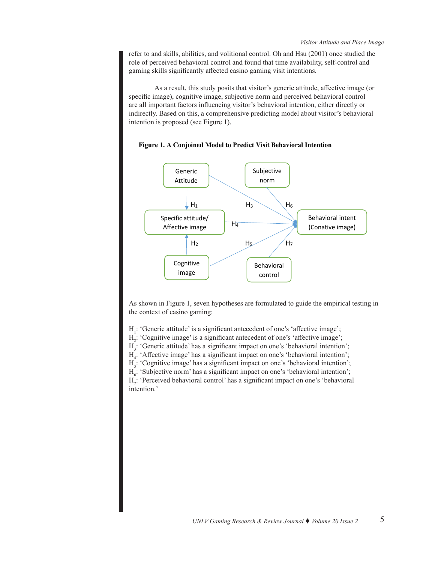refer to and skills, abilities, and volitional control. Oh and Hsu (2001) once studied the role of perceived behavioral control and found that time availability, self-control and gaming skills significantly affected casino gaming visit intentions.

As a result, this study posits that visitor's generic attitude, affective image (or specific image), cognitive image, subjective norm and perceived behavioral control are all important factors influencing visitor's behavioral intention, either directly or indirectly. Based on this, a comprehensive predicting model about visitor's behavioral intention is proposed (see Figure 1).



# **Figure 1. A Conjoined Model to Predict Visit Behavioral Intention**

As shown in Figure 1, seven hypotheses are formulated to guide the empirical testing in the context of casino gaming:

H<sub>1</sub>: 'Generic attitude' is a significant antecedent of one's 'affective image';

H2 : 'Cognitive image' is a significant antecedent of one's 'affective image';

H<sub>3</sub>: 'Generic attitude' has a significant impact on one's 'behavioral intention';

H4 : 'Affective image' has a significant impact on one's 'behavioral intention';

H<sub>5</sub>: 'Cognitive image' has a significant impact on one's 'behavioral intention';

 $H_6$ : 'Subjective norm' has a significant impact on one's 'behavioral intention';

H<sub>7</sub>: 'Perceived behavioral control' has a significant impact on one's 'behavioral intention.'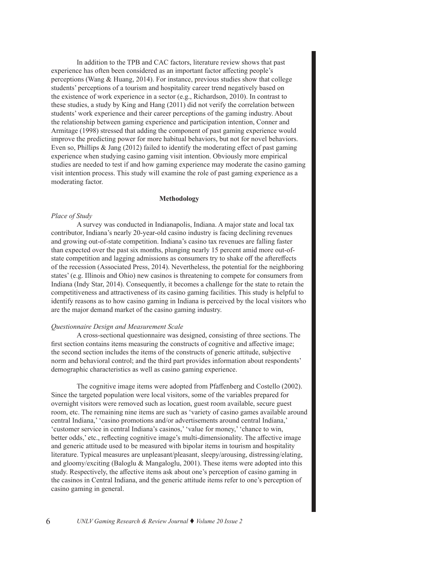In addition to the TPB and CAC factors, literature review shows that past experience has often been considered as an important factor affecting people's perceptions (Wang & Huang, 2014). For instance, previous studies show that college students' perceptions of a tourism and hospitality career trend negatively based on the existence of work experience in a sector (e.g., Richardson, 2010). In contrast to these studies, a study by King and Hang (2011) did not verify the correlation between students' work experience and their career perceptions of the gaming industry. About the relationship between gaming experience and participation intention, Conner and Armitage (1998) stressed that adding the component of past gaming experience would improve the predicting power for more habitual behaviors, but not for novel behaviors. Even so, Phillips & Jang (2012) failed to identify the moderating effect of past gaming experience when studying casino gaming visit intention. Obviously more empirical studies are needed to test if and how gaming experience may moderate the casino gaming visit intention process. This study will examine the role of past gaming experience as a moderating factor.

#### **Methodology**

#### *Place of Study*

A survey was conducted in Indianapolis, Indiana. A major state and local tax contributor, Indiana's nearly 20-year-old casino industry is facing declining revenues and growing out-of-state competition. Indiana's casino tax revenues are falling faster than expected over the past six months, plunging nearly 15 percent amid more out-ofstate competition and lagging admissions as consumers try to shake off the aftereffects of the recession (Associated Press, 2014). Nevertheless, the potential for the neighboring states' (e.g. Illinois and Ohio) new casinos is threatening to compete for consumers from Indiana (Indy Star, 2014). Consequently, it becomes a challenge for the state to retain the competitiveness and attractiveness of its casino gaming facilities. This study is helpful to identify reasons as to how casino gaming in Indiana is perceived by the local visitors who are the major demand market of the casino gaming industry.

#### *Questionnaire Design and Measurement Scale*

A cross-sectional questionnaire was designed, consisting of three sections. The first section contains items measuring the constructs of cognitive and affective image; the second section includes the items of the constructs of generic attitude, subjective norm and behavioral control; and the third part provides information about respondents' demographic characteristics as well as casino gaming experience.

The cognitive image items were adopted from Pfaffenberg and Costello (2002). Since the targeted population were local visitors, some of the variables prepared for overnight visitors were removed such as location, guest room available, secure guest room, etc. The remaining nine items are such as 'variety of casino games available around central Indiana,' 'casino promotions and/or advertisements around central Indiana,' 'customer service in central Indiana's casinos,' 'value for money,' 'chance to win, better odds,' etc., reflecting cognitive image's multi-dimensionality. The affective image and generic attitude used to be measured with bipolar items in tourism and hospitality literature. Typical measures are unpleasant/pleasant, sleepy/arousing, distressing/elating, and gloomy/exciting (Baloglu & Mangaloglu, 2001). These items were adopted into this study. Respectively, the affective items ask about one's perception of casino gaming in the casinos in Central Indiana, and the generic attitude items refer to one's perception of casino gaming in general.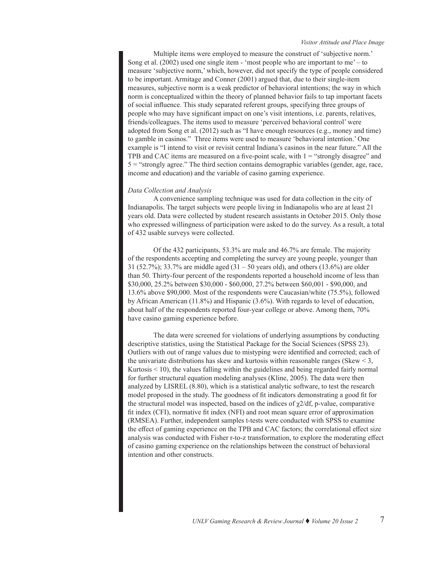Multiple items were employed to measure the construct of 'subjective norm.' Song et al. (2002) used one single item - 'most people who are important to me' – to measure 'subjective norm,' which, however, did not specify the type of people considered to be important. Armitage and Conner (2001) argued that, due to their single-item measures, subjective norm is a weak predictor of behavioral intentions; the way in which norm is conceptualized within the theory of planned behavior fails to tap important facets of social influence. This study separated referent groups, specifying three groups of people who may have significant impact on one's visit intentions, i.e. parents, relatives, friends/colleagues. The items used to measure 'perceived behavioral control' were adopted from Song et al. (2012) such as "I have enough resources (e.g., money and time) to gamble in casinos." Three items were used to measure 'behavioral intention.' One example is "I intend to visit or revisit central Indiana's casinos in the near future." All the TPB and CAC items are measured on a five-point scale, with 1 = "strongly disagree" and 5 = "strongly agree." The third section contains demographic variables (gender, age, race, income and education) and the variable of casino gaming experience.

#### *Data Collection and Analysis*

A convenience sampling technique was used for data collection in the city of Indianapolis. The target subjects were people living in Indianapolis who are at least 21 years old. Data were collected by student research assistants in October 2015. Only those who expressed willingness of participation were asked to do the survey. As a result, a total of 432 usable surveys were collected.

Of the 432 participants, 53.3% are male and 46.7% are female. The majority of the respondents accepting and completing the survey are young people, younger than 31 (52.7%); 33.7% are middle aged (31 – 50 years old), and others (13.6%) are older than 50. Thirty-four percent of the respondents reported a household income of less than \$30,000, 25.2% between \$30,000 - \$60,000, 27.2% between \$60,001 - \$90,000, and 13.6% above \$90,000. Most of the respondents were Caucasian/white (75.5%), followed by African American (11.8%) and Hispanic (3.6%). With regards to level of education, about half of the respondents reported four-year college or above. Among them, 70% have casino gaming experience before.

The data were screened for violations of underlying assumptions by conducting descriptive statistics, using the Statistical Package for the Social Sciences (SPSS 23). Outliers with out of range values due to mistyping were identified and corrected; each of the univariate distributions has skew and kurtosis within reasonable ranges (Skew  $\leq$  3, Kurtosis  $\leq 10$ ), the values falling within the guidelines and being regarded fairly normal for further structural equation modeling analyses (Kline, 2005). The data were then analyzed by LISREL (8.80), which is a statistical analytic software, to test the research model proposed in the study. The goodness of fit indicators demonstrating a good fit for the structural model was inspected, based on the indices of  $\chi$ 2/df, p-value, comparative fit index (CFI), normative fit index (NFI) and root mean square error of approximation (RMSEA). Further, independent samples t-tests were conducted with SPSS to examine the effect of gaming experience on the TPB and CAC factors; the correlational effect size analysis was conducted with Fisher r-to-z transformation, to explore the moderating effect of casino gaming experience on the relationships between the construct of behavioral intention and other constructs.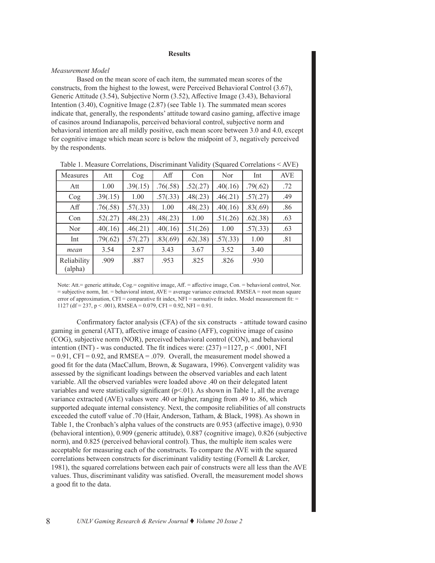#### **Results**

#### *Measurement Model*

Based on the mean score of each item, the summated mean scores of the constructs, from the highest to the lowest, were Perceived Behavioral Control (3.67), Generic Attitude (3.54), Subjective Norm (3.52), Affective Image (3.43), Behavioral Intention (3.40), Cognitive Image (2.87) (see Table 1). The summated mean scores indicate that, generally, the respondents' attitude toward casino gaming, affective image of casinos around Indianapolis, perceived behavioral control, subjective norm and behavioral intention are all mildly positive, each mean score between 3.0 and 4.0, except for cognitive image which mean score is below the midpoint of 3, negatively perceived by the respondents.

| <b>Measures</b>        | Att      | $\log$   | Aff      | Con      | Nor      | Int      | <b>AVE</b> |
|------------------------|----------|----------|----------|----------|----------|----------|------------|
| Att                    | 1.00     | .39(.15) | .76(.58) | .52(.27) | .40(.16) | .79(.62) | .72        |
| Cog                    | .39(.15) | 1.00     | .57(.33) | .48(.23) | .46(.21) | .57(.27) | .49        |
| Aff                    | .76(.58) | .57(.33) | 1.00     | .48(.23) | .40(.16) | .83(.69) | .86        |
| Con                    | .52(.27) | .48(.23) | .48(.23) | 1.00     | .51(.26) | .62(.38) | .63        |
| Nor                    | .40(.16) | .46(.21) | .40(.16) | .51(.26) | 1.00     | .57(.33) | .63        |
| Int                    | .79(.62) | .57(.27) | .83(.69) | .62(.38) | .57(.33) | 1.00     | .81        |
| mean                   | 3.54     | 2.87     | 3.43     | 3.67     | 3.52     | 3.40     |            |
| Reliability<br>(alpha) | .909     | .887     | .953     | .825     | .826     | .930     |            |

Table 1. Measure Correlations, Discriminant Validity (Squared Correlations < AVE)

Note: Att.= generic attitude, Cog.= cognitive image, Aff. = affective image, Con. = behavioral control, Nor. = subjective norm, Int. = behavioral intent, AVE = average variance extracted. RMSEA = root mean square error of approximation, CFI = comparative fit index, NFI = normative fit index. Model measurement fit: = 1127 (df = 237, p < .001), RMSEA = 0.079, CFI = 0.92, NFI = 0.91.

Confirmatory factor analysis (CFA) of the six constructs - attitude toward casino gaming in general (ATT), affective image of casino (AFF), cognitive image of casino (COG), subjective norm (NOR), perceived behavioral control (CON), and behavioral intention (INT) - was conducted. The fit indices were:  $(237) = 1127$ , p < .0001, NFI  $= 0.91$ , CFI = 0.92, and RMSEA = .079. Overall, the measurement model showed a good fit for the data (MacCallum, Brown, & Sugawara, 1996). Convergent validity was assessed by the significant loadings between the observed variables and each latent variable. All the observed variables were loaded above .40 on their delegated latent variables and were statistically significant  $(p<0.01)$ . As shown in Table 1, all the average variance extracted (AVE) values were .40 or higher, ranging from .49 to .86, which supported adequate internal consistency. Next, the composite reliabilities of all constructs exceeded the cutoff value of .70 (Hair, Anderson, Tatham, & Black, 1998). As shown in Table 1, the Cronbach's alpha values of the constructs are 0.953 (affective image), 0.930 (behavioral intention), 0.909 (generic attitude), 0.887 (cognitive image), 0.826 (subjective norm), and 0.825 (perceived behavioral control). Thus, the multiple item scales were acceptable for measuring each of the constructs. To compare the AVE with the squared correlations between constructs for discriminant validity testing (Fornell & Larcker, 1981), the squared correlations between each pair of constructs were all less than the AVE values. Thus, discriminant validity was satisfied. Overall, the measurement model shows a good fit to the data.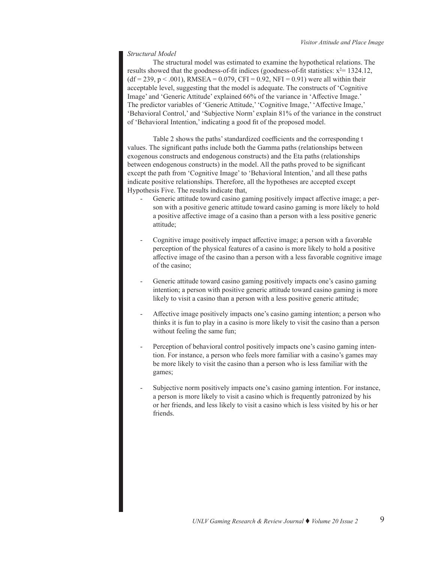## *Structural Model*

The structural model was estimated to examine the hypothetical relations. The results showed that the goodness-of-fit indices (goodness-of-fit statistics:  $x^2$  = 1324.12,  $(df = 239, p < .001)$ , RMSEA = 0.079, CFI = 0.92, NFI = 0.91) were all within their acceptable level, suggesting that the model is adequate. The constructs of 'Cognitive Image' and 'Generic Attitude' explained 66% of the variance in 'Affective Image.' The predictor variables of 'Generic Attitude,' 'Cognitive Image,' 'Affective Image,' 'Behavioral Control,' and 'Subjective Norm' explain 81% of the variance in the construct of 'Behavioral Intention,' indicating a good fit of the proposed model.

Table 2 shows the paths' standardized coefficients and the corresponding t values. The significant paths include both the Gamma paths (relationships between exogenous constructs and endogenous constructs) and the Eta paths (relationships between endogenous constructs) in the model. All the paths proved to be significant except the path from 'Cognitive Image' to 'Behavioral Intention,' and all these paths indicate positive relationships. Therefore, all the hypotheses are accepted except Hypothesis Five. The results indicate that,

- Generic attitude toward casino gaming positively impact affective image; a person with a positive generic attitude toward casino gaming is more likely to hold a positive affective image of a casino than a person with a less positive generic attitude;
- Cognitive image positively impact affective image; a person with a favorable perception of the physical features of a casino is more likely to hold a positive affective image of the casino than a person with a less favorable cognitive image of the casino;
- Generic attitude toward casino gaming positively impacts one's casino gaming intention; a person with positive generic attitude toward casino gaming is more likely to visit a casino than a person with a less positive generic attitude;
- Affective image positively impacts one's casino gaming intention; a person who thinks it is fun to play in a casino is more likely to visit the casino than a person without feeling the same fun;
- Perception of behavioral control positively impacts one's casino gaming intention. For instance, a person who feels more familiar with a casino's games may be more likely to visit the casino than a person who is less familiar with the games;
- Subjective norm positively impacts one's casino gaming intention. For instance, a person is more likely to visit a casino which is frequently patronized by his or her friends, and less likely to visit a casino which is less visited by his or her friends.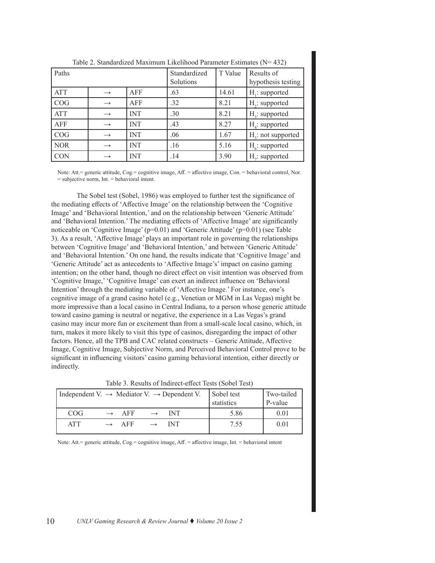| Paths      |               |            | Standardized<br>Solutions | T Value | Results of<br>hypothesis testing |
|------------|---------------|------------|---------------------------|---------|----------------------------------|
| ATT        | $\rightarrow$ | AFF        | .63                       | 14.61   | $H_i$ : supported                |
| COG        | $\rightarrow$ | AFF        | .32                       | 8.21    | $H2$ : supported                 |
| <b>ATT</b> | $\rightarrow$ | <b>INT</b> | .30                       | 8.21    | $H2$ : supported                 |
| <b>AFF</b> | $\rightarrow$ | <b>INT</b> | .43                       | 8.27    | $H4$ : supported                 |
| COG        |               | <b>INT</b> | .06                       | 1.67    | $Hc$ : not supported             |
| <b>NOR</b> |               | <b>INT</b> | .16                       | 5.16    | $H_{\epsilon}$ : supported       |
| <b>CON</b> |               | <b>INT</b> | .14                       | 3.90    | H <sub>2</sub> : supported       |

Table 2. Standardized Maximum Likelihood Parameter Estimates (N= 432)

Note: Att.= generic attitude, Cog.= cognitive image, Aff. = affective image, Con. = behavioral control, Nor.  $=$  subjective norm. Int.  $=$  behavioral intent.

The Sobel test (Sobel, 1986) was employed to further test the significance of the mediating effects of 'Affective Image' on the relationship between the 'Cognitive Image' and 'Behavioral Intention,' and on the relationship between 'Generic Attitude' and 'Behavioral Intention.' The mediating effects of 'Affective Image' are significantly noticeable on 'Cognitive Image' (p=0.01) and 'Generic Attitude' (p=0.01) (see Table 3). As a result, 'Affective Image' plays an important role in governing the relationships between 'Cognitive Image' and 'Behavioral Intention,' and between 'Generic Attitude' and 'Behavioral Intention.' On one hand, the results indicate that 'Cognitive Image' and 'Generic Attitude' act as antecedents to 'Affective Image's' impact on casino gaming intention; on the other hand, though no direct effect on visit intention was observed from 'Cognitive Image,' 'Cognitive Image' can exert an indirect influence on 'Behavioral Intention' through the mediating variable of 'Affective Image.' For instance, one's cognitive image of a grand casino hotel (e.g., Venetian or MGM in Las Vegas) might be more impressive than a local casino in Central Indiana, to a person whose generic attitude toward casino gaming is neutral or negative, the experience in a Las Vegas's grand casino may incur more fun or excitement than from a small-scale local casino, which, in turn, makes it more likely to visit this type of casinos, disregarding the impact of other factors. Hence, all the TPB and CAC related constructs – Generic Attitude, Affective Image, Cognitive Image, Subjective Norm, and Perceived Behavioral Control prove to be significant in influencing visitors' casino gaming behavioral intention, either directly or indirectly.

| Independent V. $\rightarrow$ Mediator V. $\rightarrow$ Dependent V. |                   |                   | Sobel test<br>statistics | Two-tailed<br>$P-value$ |
|---------------------------------------------------------------------|-------------------|-------------------|--------------------------|-------------------------|
| COG                                                                 | $\rightarrow$ AFF | $\rightarrow$ INT | 5.86                     | 0.01                    |
| <b>ATT</b>                                                          | $\rightarrow$ AFF | $\rightarrow$ NT  | 7.55                     | 0.01                    |

Note: Att.= generic attitude, Cog.= cognitive image, Aff. = affective image, Int. = behavioral intent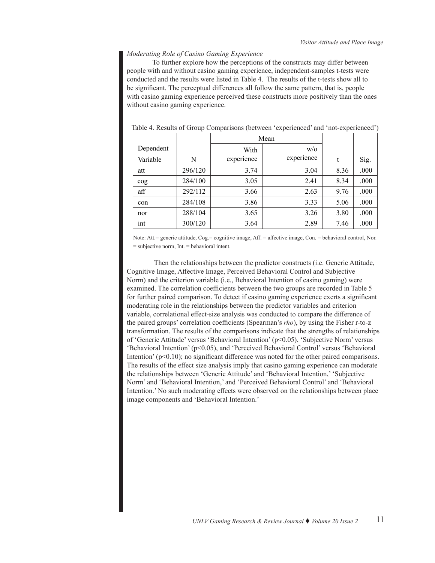#### *Moderating Role of Casino Gaming Experience*

To further explore how the perceptions of the constructs may differ between people with and without casino gaming experience, independent-samples t-tests were conducted and the results were listed in Table 4. The results of the t-tests show all to be significant. The perceptual differences all follow the same pattern, that is, people with casino gaming experience perceived these constructs more positively than the ones without casino gaming experience.

|           |         | Mean       |            |      |      |
|-----------|---------|------------|------------|------|------|
| Dependent |         | With       | W/O        |      |      |
| Variable  | N       | experience | experience | t    | Sig. |
| att       | 296/120 | 3.74       | 3.04       | 8.36 | .000 |
| $\cos$    | 284/100 | 3.05       | 2.41       | 8.34 | .000 |
| aff       | 292/112 | 3.66       | 2.63       | 9.76 | .000 |
| con       | 284/108 | 3.86       | 3.33       | 5.06 | .000 |
| nor       | 288/104 | 3.65       | 3.26       | 3.80 | .000 |
| int       | 300/120 | 3.64       | 2.89       | 7.46 | .000 |

Table 4. Results of Group Comparisons (between 'experienced' and 'not-experienced')

Note: Att.= generic attitude, Cog.= cognitive image, Aff. = affective image, Con. = behavioral control, Nor. = subjective norm, Int. = behavioral intent.

 Then the relationships between the predictor constructs (i.e. Generic Attitude, Cognitive Image, Affective Image, Perceived Behavioral Control and Subjective Norm) and the criterion variable (i.e., Behavioral Intention of casino gaming) were examined. The correlation coefficients between the two groups are recorded in Table 5 for further paired comparison. To detect if casino gaming experience exerts a significant moderating role in the relationships between the predictor variables and criterion variable, correlational effect-size analysis was conducted to compare the difference of the paired groups' correlation coefficients (Spearman's *rho*), by using the Fisher r-to-z transformation. The results of the comparisons indicate that the strengths of relationships of 'Generic Attitude' versus 'Behavioral Intention' (p<0.05), 'Subjective Norm' versus 'Behavioral Intention' (p<0.05), and 'Perceived Behavioral Control' versus 'Behavioral Intention' (p<0.10); no significant difference was noted for the other paired comparisons. The results of the effect size analysis imply that casino gaming experience can moderate the relationships between 'Generic Attitude' and 'Behavioral Intention,' 'Subjective Norm' and 'Behavioral Intention,' and 'Perceived Behavioral Control' and 'Behavioral Intention.' No such moderating effects were observed on the relationships between place image components and 'Behavioral Intention.'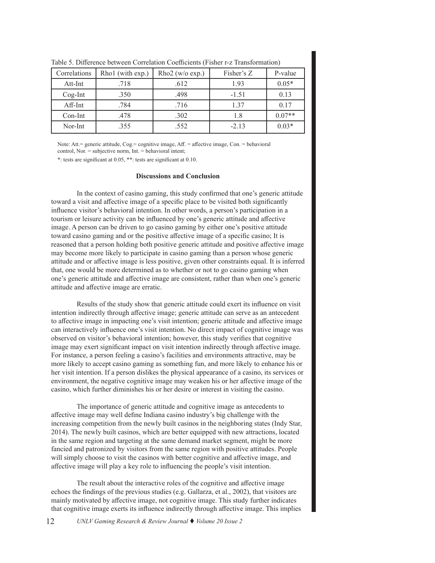| Correlations | Rho1 (with exp.) | Rho $2$ (w/o exp.) | Fisher's Z | P-value  |
|--------------|------------------|--------------------|------------|----------|
| Att-Int      | .718             | .612               | 1.93       | $0.05*$  |
| $Cog-Int$    | .350             | .498               | $-1.51$    | 0.13     |
| $Aff-Int$    | .784             | .716               | 1.37       | 0.17     |
| $Con$ -Int   | .478             | .302               | 1.8        | $0.07**$ |
| Nor-Int      | .355             | .552               | $-2.13$    | $0.03*$  |

Table 5. Difference between Correlation Coefficients (Fisher r-z Transformation)

Note: Att.= generic attitude, Cog.= cognitive image, Aff. = affective image, Con. = behavioral control, Nor. = subjective norm, Int. = behavioral intent;

\*: tests are significant at 0.05, \*\*: tests are significant at 0.10.

#### **Discussions and Conclusion**

In the context of casino gaming, this study confirmed that one's generic attitude toward a visit and affective image of a specific place to be visited both significantly influence visitor's behavioral intention. In other words, a person's participation in a tourism or leisure activity can be influenced by one's generic attitude and affective image. A person can be driven to go casino gaming by either one's positive attitude toward casino gaming and or the positive affective image of a specific casino; It is reasoned that a person holding both positive generic attitude and positive affective image may become more likely to participate in casino gaming than a person whose generic attitude and or affective image is less positive, given other constraints equal. It is inferred that, one would be more determined as to whether or not to go casino gaming when one's generic attitude and affective image are consistent, rather than when one's generic attitude and affective image are erratic.

Results of the study show that generic attitude could exert its influence on visit intention indirectly through affective image; generic attitude can serve as an antecedent to affective image in impacting one's visit intention; generic attitude and affective image can interactively influence one's visit intention. No direct impact of cognitive image was observed on visitor's behavioral intention; however, this study verifies that cognitive image may exert significant impact on visit intention indirectly through affective image. For instance, a person feeling a casino's facilities and environments attractive, may be more likely to accept casino gaming as something fun, and more likely to enhance his or her visit intention. If a person dislikes the physical appearance of a casino, its services or environment, the negative cognitive image may weaken his or her affective image of the casino, which further diminishes his or her desire or interest in visiting the casino.

The importance of generic attitude and cognitive image as antecedents to affective image may well define Indiana casino industry's big challenge with the increasing competition from the newly built casinos in the neighboring states (Indy Star, 2014). The newly built casinos, which are better equipped with new attractions, located in the same region and targeting at the same demand market segment, might be more fancied and patronized by visitors from the same region with positive attitudes. People will simply choose to visit the casinos with better cognitive and affective image, and affective image will play a key role to influencing the people's visit intention.

The result about the interactive roles of the cognitive and affective image echoes the findings of the previous studies (e.g. Gallarza, et al., 2002), that visitors are mainly motivated by affective image, not cognitive image. This study further indicates that cognitive image exerts its influence indirectly through affective image. This implies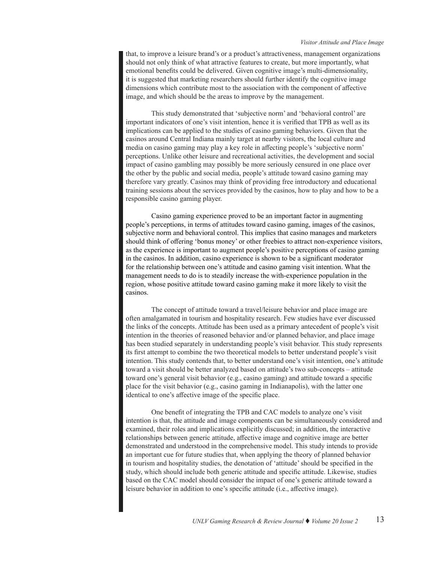that, to improve a leisure brand's or a product's attractiveness, management organizations should not only think of what attractive features to create, but more importantly, what emotional benefits could be delivered. Given cognitive image's multi-dimensionality, it is suggested that marketing researchers should further identify the cognitive image dimensions which contribute most to the association with the component of affective image, and which should be the areas to improve by the management.

This study demonstrated that 'subjective norm' and 'behavioral control' are important indicators of one's visit intention, hence it is verified that TPB as well as its implications can be applied to the studies of casino gaming behaviors. Given that the casinos around Central Indiana mainly target at nearby visitors, the local culture and media on casino gaming may play a key role in affecting people's 'subjective norm' perceptions. Unlike other leisure and recreational activities, the development and social impact of casino gambling may possibly be more seriously censured in one place over the other by the public and social media, people's attitude toward casino gaming may therefore vary greatly. Casinos may think of providing free introductory and educational training sessions about the services provided by the casinos, how to play and how to be a responsible casino gaming player.

Casino gaming experience proved to be an important factor in augmenting people's perceptions, in terms of attitudes toward casino gaming, images of the casinos, subjective norm and behavioral control. This implies that casino manages and marketers should think of offering 'bonus money' or other freebies to attract non-experience visitors, as the experience is important to augment people's positive perceptions of casino gaming in the casinos. In addition, casino experience is shown to be a significant moderator for the relationship between one's attitude and casino gaming visit intention. What the management needs to do is to steadily increase the with-experience population in the region, whose positive attitude toward casino gaming make it more likely to visit the casinos.

The concept of attitude toward a travel/leisure behavior and place image are often amalgamated in tourism and hospitality research. Few studies have ever discussed the links of the concepts. Attitude has been used as a primary antecedent of people's visit intention in the theories of reasoned behavior and/or planned behavior, and place image has been studied separately in understanding people's visit behavior. This study represents its first attempt to combine the two theoretical models to better understand people's visit intention. This study contends that, to better understand one's visit intention, one's attitude toward a visit should be better analyzed based on attitude's two sub-concepts – attitude toward one's general visit behavior (e.g., casino gaming) and attitude toward a specific place for the visit behavior (e.g., casino gaming in Indianapolis), with the latter one identical to one's affective image of the specific place.

One benefit of integrating the TPB and CAC models to analyze one's visit intention is that, the attitude and image components can be simultaneously considered and examined, their roles and implications explicitly discussed; in addition, the interactive relationships between generic attitude, affective image and cognitive image are better demonstrated and understood in the comprehensive model. This study intends to provide an important cue for future studies that, when applying the theory of planned behavior in tourism and hospitality studies, the denotation of 'attitude' should be specified in the study, which should include both generic attitude and specific attitude. Likewise, studies based on the CAC model should consider the impact of one's generic attitude toward a leisure behavior in addition to one's specific attitude (i.e., affective image).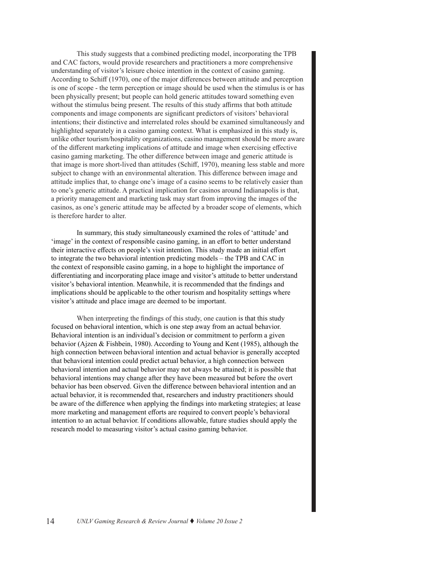This study suggests that a combined predicting model, incorporating the TPB and CAC factors, would provide researchers and practitioners a more comprehensive understanding of visitor's leisure choice intention in the context of casino gaming. According to Schiff (1970), one of the major differences between attitude and perception is one of scope - the term perception or image should be used when the stimulus is or has been physically present; but people can hold generic attitudes toward something even without the stimulus being present. The results of this study affirms that both attitude components and image components are significant predictors of visitors' behavioral intentions; their distinctive and interrelated roles should be examined simultaneously and highlighted separately in a casino gaming context. What is emphasized in this study is, unlike other tourism/hospitality organizations, casino management should be more aware of the different marketing implications of attitude and image when exercising effective casino gaming marketing. The other difference between image and generic attitude is that image is more short-lived than attitudes (Schiff, 1970), meaning less stable and more subject to change with an environmental alteration. This difference between image and attitude implies that, to change one's image of a casino seems to be relatively easier than to one's generic attitude. A practical implication for casinos around Indianapolis is that, a priority management and marketing task may start from improving the images of the casinos, as one's generic attitude may be affected by a broader scope of elements, which is therefore harder to alter.

In summary, this study simultaneously examined the roles of 'attitude' and 'image' in the context of responsible casino gaming, in an effort to better understand their interactive effects on people's visit intention. This study made an initial effort to integrate the two behavioral intention predicting models – the TPB and CAC in the context of responsible casino gaming, in a hope to highlight the importance of differentiating and incorporating place image and visitor's attitude to better understand visitor's behavioral intention. Meanwhile, it is recommended that the findings and implications should be applicable to the other tourism and hospitality settings where visitor's attitude and place image are deemed to be important.

When interpreting the findings of this study, one caution is that this study focused on behavioral intention, which is one step away from an actual behavior. Behavioral intention is an individual's decision or commitment to perform a given behavior (Ajzen & Fishbein, 1980). According to Young and Kent (1985), although the high connection between behavioral intention and actual behavior is generally accepted that behavioral intention could predict actual behavior, a high connection between behavioral intention and actual behavior may not always be attained; it is possible that behavioral intentions may change after they have been measured but before the overt behavior has been observed. Given the difference between behavioral intention and an actual behavior, it is recommended that, researchers and industry practitioners should be aware of the difference when applying the findings into marketing strategies; at lease more marketing and management efforts are required to convert people's behavioral intention to an actual behavior. If conditions allowable, future studies should apply the research model to measuring visitor's actual casino gaming behavior.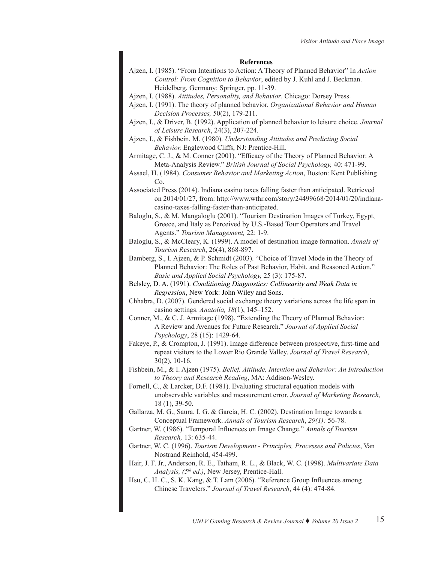#### **References**

- Ajzen, I. (1985). "From Intentions to Action: A Theory of Planned Behavior" In *Action Control: From Cognition to Behavior*, edited by J. Kuhl and J. Beckman. Heidelberg, Germany: Springer, pp. 11-39.
- Ajzen, I. (1988). *Attitudes, Personality, and Behavior*. Chicago: Dorsey Press.
- Ajzen, I. (1991). The theory of planned behavior. *Organizational Behavior and Human Decision Processes,* 50(2), 179-211.
- Ajzen, I., & Driver, B. (1992). Application of planned behavior to leisure choice. *Journal of Leisure Research*, 24(3), 207-224.
- Ajzen, I., & Fishbein, M. (1980). *Understanding Attitudes and Predicting Social Behavior.* Englewood Cliffs, NJ: Prentice-Hill.
- Armitage, C. J., & M. Conner (2001). "Efficacy of the Theory of Planned Behavior: A Meta-Analysis Review." *British Journal of Social Psychology,* 40: 471-99.
- Assael, H. (1984). *Consumer Behavior and Marketing Action*, Boston: Kent Publishing Co.
- Associated Press (2014). Indiana casino taxes falling faster than anticipated. Retrieved on 2014/01/27, from: http://www.wthr.com/story/24499668/2014/01/20/indianacasino-taxes-falling-faster-than-anticipated.
- Baloglu, S., & M. Mangaloglu (2001). "Tourism Destination Images of Turkey, Egypt, Greece, and Italy as Perceived by U.S.-Based Tour Operators and Travel Agents." *Tourism Management,* 22: 1-9.
- Baloglu, S., & McCleary, K. (1999). A model of destination image formation. *Annals of Tourism Research*, 26(4), 868-897.
- Bamberg, S., I. Ajzen, & P. Schmidt (2003). "Choice of Travel Mode in the Theory of Planned Behavior: The Roles of Past Behavior, Habit, and Reasoned Action." *Basic and Applied Social Psychology,* 25 (3): 175-87.
- Belsley, D. A. (1991). *Conditioning Diagnostics: Collinearity and Weak Data in Regression*, New York: John Wiley and Sons.
- Chhabra, D. (2007). Gendered social exchange theory variations across the life span in casino settings. *Anatolia, 18*(1), 145–152.
- Conner, M., & C. J. Armitage (1998). "Extending the Theory of Planned Behavior: A Review and Avenues for Future Research." *Journal of Applied Social Psychology*, 28 (15): 1429-64.
- Fakeye, P., & Crompton, J. (1991). Image difference between prospective, first-time and repeat visitors to the Lower Rio Grande Valley. *Journal of Travel Research*, 30(2), 10-16.
- Fishbein, M., & I. Ajzen (1975). *Belief, Attitude, Intention and Behavior: An Introduction to Theory and Research Reading*, MA: Addison-Wesley.
- Fornell, C., & Larcker, D.F. (1981). Evaluating structural equation models with unobservable variables and measurement error. *Journal of Marketing Research,* 18 (1), 39-50.
- Gallarza, M. G., Saura, I. G. & Garcia, H. C. (2002). Destination Image towards a Conceptual Framework. *Annals of Tourism Research*, *29(1):* 56-78.
- Gartner, W. (1986). "Temporal Influences on Image Change." *Annals of Tourism Research,* 13: 635-44.
- Gartner, W. C. (1996). *Tourism Development Principles, Processes and Policies*, Van Nostrand Reinhold, 454-499.
- Hair, J. F. Jr., Anderson, R. E., Tatham, R. L., & Black, W. C. (1998). *Multivariate Data Analysis, (5th ed.)*, New Jersey, Prentice-Hall.
- Hsu, C. H. C., S. K. Kang, & T. Lam (2006). "Reference Group Influences among Chinese Travelers." *Journal of Travel Research*, 44 (4): 474-84.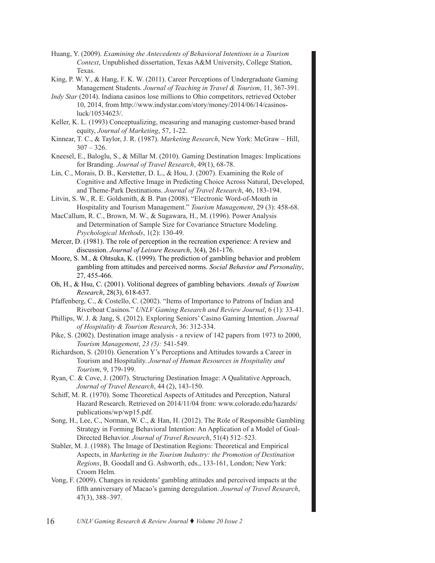- Huang, Y. (2009). *Examining the Antecedents of Behavioral Intentions in a Tourism Context*, Unpublished dissertation, Texas A&M University, College Station, Texas.
- King, P. W. Y., & Hang, F. K. W. (2011). Career Perceptions of Undergraduate Gaming Management Students. *Journal of Teaching in Travel & Tourism*, 11, 367-391.
- *Indy Star* (2014). Indiana casinos lose millions to Ohio competitors, retrieved October 10, 2014, from http://www.indystar.com/story/money/2014/06/14/casinosluck/10534623/.
- Keller, K. L. (1993) Conceptualizing, measuring and managing customer-based brand equity, *Journal of Marketing*, 57, 1-22.
- Kinnear, T. C., & Taylor, J. R. (1987). *Marketing Research*, New York: McGraw Hill,  $307 - 326.$
- Kneesel, E., Baloglu, S., & Millar M. (2010). Gaming Destination Images: Implications for Branding. *Journal of Travel Research*, 49(1), 68-78.
- Lin, C., Morais, D. B., Kerstetter, D. L., & Hou, J. (2007). Examining the Role of Cognitive and Affective Image in Predicting Choice Across Natural, Developed, and Theme-Park Destinations. *Journal of Travel Research*, 46, 183-194.
- Litvin, S. W., R. E. Goldsmith, & B. Pan (2008). "Electronic Word-of-Mouth in Hospitality and Tourism Management." *Tourism Management*, 29 (3): 458-68.
- MacCallum, R. C., Brown, M. W., & Sugawara, H., M. (1996). Power Analysis and Determination of Sample Size for Covariance Structure Modeling. *Psychological Methods*, 1(2): 130-49.
- Mercer, D. (1981). The role of perception in the recreation experience: A review and discussion. *Journal of Leisure Research*, 3(4), 261-176.
- Moore, S. M., & Ohtsuka, K. (1999). The prediction of gambling behavior and problem gambling from attitudes and perceived norms. *Social Behavior and Personality*, 27, 455-466.
- Oh, H., & Hsu, C. (2001). Volitional degrees of gambling behaviors. *Annals of Tourism Research*, 28(3), 618-637.
- Pfaffenberg, C., & Costello, C. (2002). "Items of Importance to Patrons of Indian and Riverboat Casinos." *UNLV Gaming Research and Review Journal*, 6 (1): 33-41.
- Phillips, W. J. & Jang, S. (2012). Exploring Seniors' Casino Gaming Intention. *Journal of Hospitality & Tourism Research*, 36: 312-334.
- Pike, S. (2002). Destination image analysis a review of 142 papers from 1973 to 2000, *Tourism Management*, *23 (5):* 541-549.
- Richardson, S. (2010). Generation Y's Perceptions and Attitudes towards a Career in Tourism and Hospitality. *Journal of Human Resources in Hospitality and Tourism*, 9, 179-199.
- Ryan, C. & Cove, J. (2007). Structuring Destination Image: A Qualitative Approach, *Journal of Travel Research*, 44 (2), 143-150.
- Schiff, M. R. (1970). Some Theoretical Aspects of Attitudes and Perception, Natural Hazard Research. Retrieved on 2014/11/04 from: www.colorado.edu/hazards/ publications/wp/wp15.pdf.
- Song, H., Lee, C., Norman, W. C., & Han, H. (2012). The Role of Responsible Gambling Strategy in Forming Behavioral Intention: An Application of a Model of Goal-Directed Behavior. *Journal of Travel Research*, 51(4) 512–523.
- Stabler, M. J. (1988). The Image of Destination Regions: Theoretical and Empirical Aspects, in *Marketing in the Tourism Industry: the Promotion of Destination Regions*, B. Goodall and G. Ashworth, eds., 133-161, London; New York: Croom Helm.
- Vong, F. (2009). Changes in residents' gambling attitudes and perceived impacts at the fifth anniversary of Macao's gaming deregulation. *Journal of Travel Research*, 47(3), 388–397.